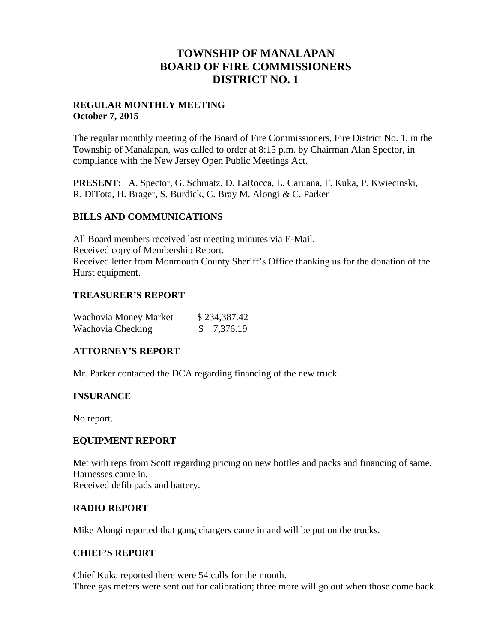## **TOWNSHIP OF MANALAPAN BOARD OF FIRE COMMISSIONERS DISTRICT NO. 1**

#### **REGULAR MONTHLY MEETING October 7, 2015**

The regular monthly meeting of the Board of Fire Commissioners, Fire District No. 1, in the Township of Manalapan, was called to order at 8:15 p.m. by Chairman Alan Spector, in compliance with the New Jersey Open Public Meetings Act.

**PRESENT:** A. Spector, G. Schmatz, D. LaRocca, L. Caruana, F. Kuka, P. Kwiecinski, R. DiTota, H. Brager, S. Burdick, C. Bray M. Alongi & C. Parker

#### **BILLS AND COMMUNICATIONS**

All Board members received last meeting minutes via E-Mail. Received copy of Membership Report. Received letter from Monmouth County Sheriff's Office thanking us for the donation of the Hurst equipment.

#### **TREASURER'S REPORT**

| Wachovia Money Market | \$234,387.42 |
|-----------------------|--------------|
| Wachovia Checking     | \$7,376.19   |

#### **ATTORNEY'S REPORT**

Mr. Parker contacted the DCA regarding financing of the new truck.

## **INSURANCE**

No report.

## **EQUIPMENT REPORT**

Met with reps from Scott regarding pricing on new bottles and packs and financing of same. Harnesses came in. Received defib pads and battery.

## **RADIO REPORT**

Mike Alongi reported that gang chargers came in and will be put on the trucks.

#### **CHIEF'S REPORT**

Chief Kuka reported there were 54 calls for the month. Three gas meters were sent out for calibration; three more will go out when those come back.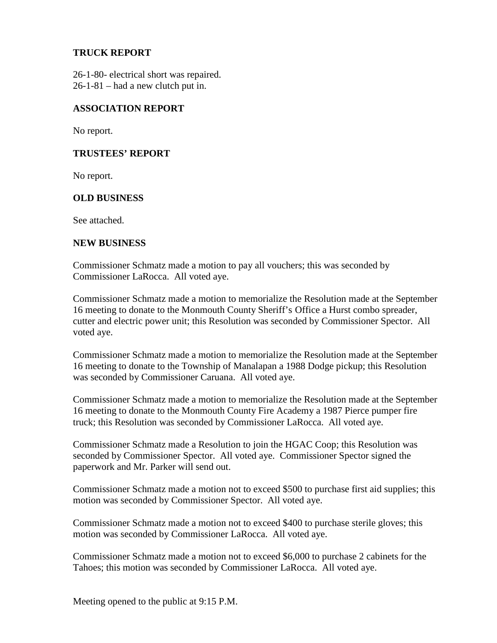#### **TRUCK REPORT**

26-1-80- electrical short was repaired. 26-1-81 – had a new clutch put in.

#### **ASSOCIATION REPORT**

No report.

#### **TRUSTEES' REPORT**

No report.

#### **OLD BUSINESS**

See attached.

#### **NEW BUSINESS**

Commissioner Schmatz made a motion to pay all vouchers; this was seconded by Commissioner LaRocca. All voted aye.

Commissioner Schmatz made a motion to memorialize the Resolution made at the September 16 meeting to donate to the Monmouth County Sheriff's Office a Hurst combo spreader, cutter and electric power unit; this Resolution was seconded by Commissioner Spector. All voted aye.

Commissioner Schmatz made a motion to memorialize the Resolution made at the September 16 meeting to donate to the Township of Manalapan a 1988 Dodge pickup; this Resolution was seconded by Commissioner Caruana. All voted aye.

Commissioner Schmatz made a motion to memorialize the Resolution made at the September 16 meeting to donate to the Monmouth County Fire Academy a 1987 Pierce pumper fire truck; this Resolution was seconded by Commissioner LaRocca. All voted aye.

Commissioner Schmatz made a Resolution to join the HGAC Coop; this Resolution was seconded by Commissioner Spector. All voted aye. Commissioner Spector signed the paperwork and Mr. Parker will send out.

Commissioner Schmatz made a motion not to exceed \$500 to purchase first aid supplies; this motion was seconded by Commissioner Spector. All voted aye.

Commissioner Schmatz made a motion not to exceed \$400 to purchase sterile gloves; this motion was seconded by Commissioner LaRocca. All voted aye.

Commissioner Schmatz made a motion not to exceed \$6,000 to purchase 2 cabinets for the Tahoes; this motion was seconded by Commissioner LaRocca. All voted aye.

Meeting opened to the public at 9:15 P.M.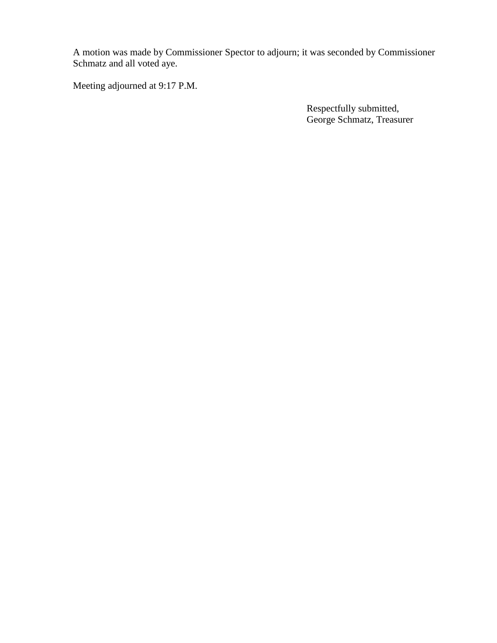A motion was made by Commissioner Spector to adjourn; it was seconded by Commissioner Schmatz and all voted aye.

Meeting adjourned at 9:17 P.M.

Respectfully submitted, George Schmatz, Treasurer